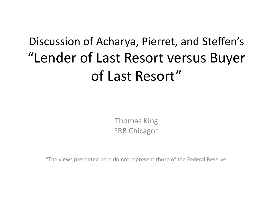## Discussion of Acharya, Pierret, and Steffen's "Lender of Last Resort versus Buyer of Last Resort"

Thomas King FRB Chicago\*

\*The views presented here do not represent those of the Federal Reserve.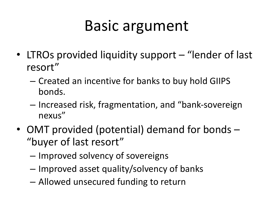## Basic argument

- LTROs provided liquidity support "lender of last resort"
	- Created an incentive for banks to buy hold GIIPS bonds.
	- Increased risk, fragmentation, and "bank-sovereign nexus"
- OMT provided (potential) demand for bonds "buyer of last resort"
	- Improved solvency of sovereigns
	- Improved asset quality/solvency of banks
	- Allowed unsecured funding to return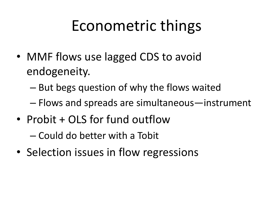## Econometric things

- MMF flows use lagged CDS to avoid endogeneity.
	- But begs question of why the flows waited
	- Flows and spreads are simultaneous—instrument
- Probit + OLS for fund outflow

– Could do better with a Tobit

• Selection issues in flow regressions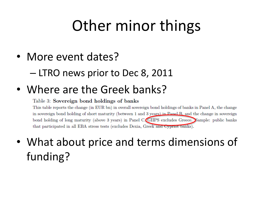## Other minor things

- More event dates?
	- LTRO news prior to Dec 8, 2011

#### • Where are the Greek banks?

#### Table 3: Sovereign bond holdings of banks

This table reports the change (in EUR bn) in overall sovereign bond holdings of banks in Panel A, the change in sovereign bond holding of short maturity (between 1 and 3 years) in Panel B, and the change in sovereign bond holding of long maturity (above 3 years) in Panel C. GIIPS excludes Greece. Sample: public banks that participated in all EBA stress tests (excludes Dexia, Greek and Cypriot banks).

• What about price and terms dimensions of funding?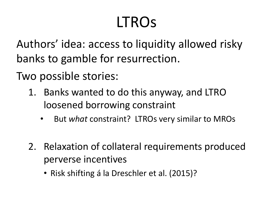## LTROs

Authors' idea: access to liquidity allowed risky banks to gamble for resurrection.

Two possible stories:

- 1. Banks wanted to do this anyway, and LTRO loosened borrowing constraint
	- But *what* constraint? LTROs very similar to MROs
- 2. Relaxation of collateral requirements produced perverse incentives
	- Risk shifting á la Dreschler et al. (2015)?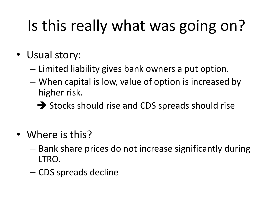# Is this really what was going on?

- Usual story:
	- Limited liability gives bank owners a put option.
	- When capital is low, value of option is increased by higher risk.
		- $\rightarrow$  Stocks should rise and CDS spreads should rise
- Where is this?
	- Bank share prices do not increase significantly during LTRO.
	- CDS spreads decline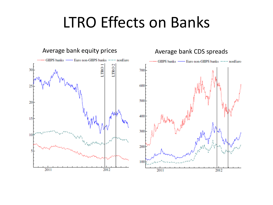## LTRO Effects on Banks

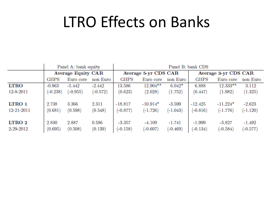## LTRO Effects on Banks

|             | Panel A: bank equity      |            |            | Panel B: bank CDS    |             |            |                      |            |            |
|-------------|---------------------------|------------|------------|----------------------|-------------|------------|----------------------|------------|------------|
|             | <b>Average Equity CAR</b> |            |            | Average 5-yr CDS CAR |             |            | Average 3-yr CDS CAR |            |            |
|             | <b>GHPS</b>               | Euro core  | non Euro   | GHPS                 | Euro core   | non Euro   | GHPS                 | Euro core  | non Euro   |
| <b>LTRO</b> | $-0.963$                  | $-5.442$   | $-2.442$   | 13.586               | $12.904***$ | $6.042*$   | 6.888                | $12.333**$ | 3.112      |
| 12-8-2011   | $(-0.238)$                | $(-0.955)$ | $(-0.572)$ | (0.623)              | (2.028)     | (1.752)    | (0.447)              | (1.982)    | (1.325)    |
| LTRO 1      | 2.738                     | 3.366      | 2.311      | $-18.817$            | $-10.914*$  | $-3.599$   | $-12.425$            | $-11.224*$ | $-2.623$   |
| 12-21-2011  | (0.681)                   | (0.598)    | (0.548)    | $(-0.877)$           | $(-1.726)$  | $(-1.043)$ | $(-0.816)$           | $(-1.776)$ | $(-1.120)$ |
| LTRO 2      | 2.830                     | 2.887      | 0.586      | $-3.357$             | $-4.109$    | $-1.741$   | $-1.999$             | $-3.827$   | $-1.492$   |
| 2-29-2012   | (0.695)                   | (0.508)    | (0.139)    | $(-0.158)$           | $(-0.607)$  | $(-0.469)$ | $(-0.134)$           | $(-0.584)$ | $(-0.577)$ |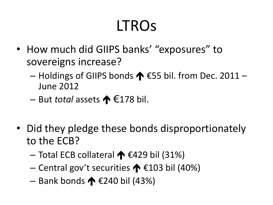## LTROs

- How much did GIIPS banks' "exposures" to sovereigns increase?
	- Holdings of GIIPS bonds ↑ €55 bil. from Dec. 2011 June 2012
	- But *total* assets  $\bigwedge$  €178 bil.
- Did they pledge these bonds disproportionately to the ECB?
	- Total ECB collateral  $\bigwedge$  €429 bil (31%)
	- Central gov't securities  $\bigwedge$  €103 bil (40%)
	- Bank bonds ↑  $£240$  bil (43%)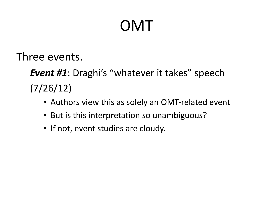## OMT

Three events.

*Event #1*: Draghi's "whatever it takes" speech (7/26/12)

- Authors view this as solely an OMT-related event
- But is this interpretation so unambiguous?
- If not, event studies are cloudy.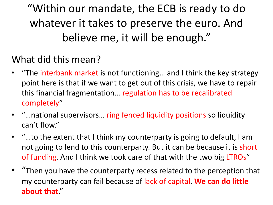"Within our mandate, the ECB is ready to do whatever it takes to preserve the euro. And believe me, it will be enough."

#### What did this mean?

- "The interbank market is not functioning... and I think the key strategy point here is that if we want to get out of this crisis, we have to repair this financial fragmentation… regulation has to be recalibrated completely"
- "…national supervisors… ring fenced liquidity positions so liquidity can't flow."
- "…to the extent that I think my counterparty is going to default, I am not going to lend to this counterparty. But it can be because it is short of funding. And I think we took care of that with the two big LTROs"
- "Then you have the counterparty recess related to the perception that my counterparty can fail because of lack of capital. **We can do little about that**."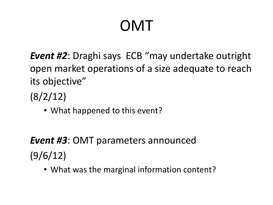## OMT

*Event #2*: Draghi says ECB "may undertake outright open market operations of a size adequate to reach its objective"

(8/2/12)

• What happened to this event?

*Event #3*: OMT parameters announced (9/6/12)

• What was the marginal information content?